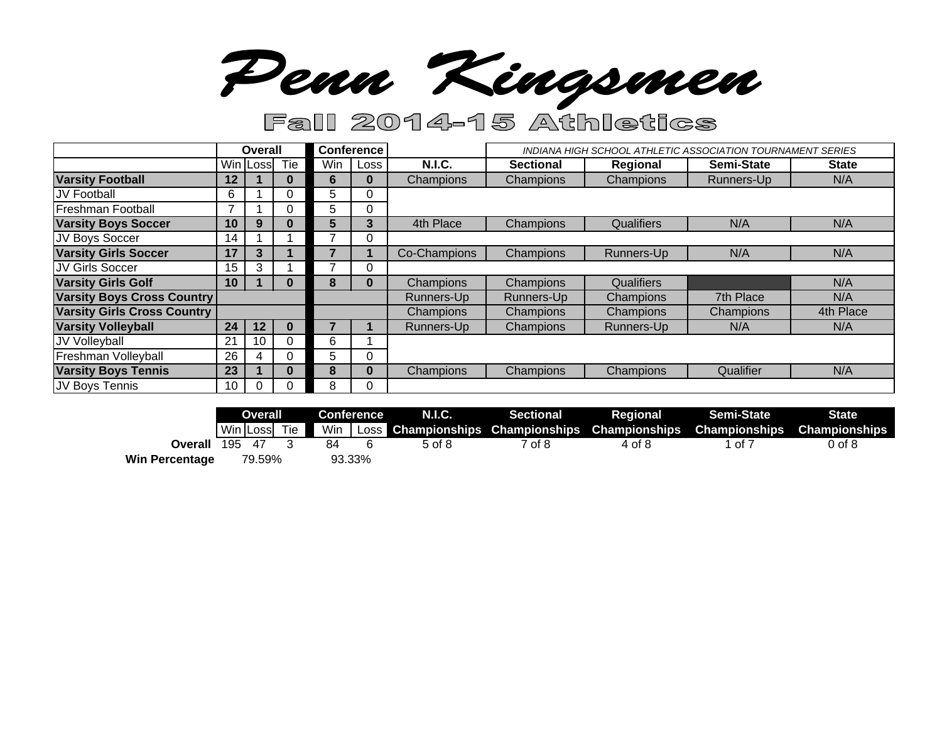Penn Kingsmen

# Fall 2014-15 Athletics

|                                    | Overall           |          |     | <b>Conference</b> |      |               | <b>INDIANA HIGH SCHOOL ATHLETIC ASSOCIATION TOURNAMENT SERIES</b> |            |                   |              |
|------------------------------------|-------------------|----------|-----|-------------------|------|---------------|-------------------------------------------------------------------|------------|-------------------|--------------|
|                                    |                   | Win Loss | Tie | Win               | Loss | <b>N.I.C.</b> | <b>Sectional</b>                                                  | Regional   | <b>Semi-State</b> | <b>State</b> |
| <b>Varsity Football</b>            | $12 \overline{ }$ |          | U   | 6                 | 0    | Champions     | Champions                                                         | Champions  | Runners-Up        | N/A          |
| JV Football                        | 6                 |          | U   | 5                 | 0    |               |                                                                   |            |                   |              |
| Freshman Football                  |                   |          | Ü   | 5                 | 0    |               |                                                                   |            |                   |              |
| <b>Varsity Boys Soccer</b>         | 10                | 9        | U   | b.                | 3    | 4th Place     | Champions                                                         | Qualifiers | N/A               | N/A          |
| JV Boys Soccer                     | 14                |          |     |                   |      |               |                                                                   |            |                   |              |
| <b>Varsity Girls Soccer</b>        | 17                | 3        |     |                   |      | Co-Champions  | Champions                                                         | Runners-Up | N/A               | N/A          |
| JV Girls Soccer                    | 15                | 3        |     |                   | O    |               |                                                                   |            |                   |              |
| <b>Varsity Girls Golf</b>          | 10                |          | U   | 8                 | O    | Champions     | Champions                                                         | Qualifiers |                   | N/A          |
| <b>Varsity Boys Cross Country</b>  |                   |          |     |                   |      | Runners-Up    | Runners-Up                                                        | Champions  | 7th Place         | N/A          |
| <b>Varsity Girls Cross Country</b> |                   |          |     |                   |      | Champions     | <b>Champions</b>                                                  | Champions  | Champions         | 4th Place    |
| <b>Varsity Volleyball</b>          | 24                | 12       | U   |                   |      | Runners-Up    | Champions                                                         | Runners-Up | N/A               | N/A          |
| JV Volleyball                      | 21                | 10       | 0   | 6                 |      |               |                                                                   |            |                   |              |
| Freshman Volleyball                | 26                | 4        | U   | b.                | 0    |               |                                                                   |            |                   |              |
| <b>Varsity Boys Tennis</b>         | 23                |          | U   | 8                 | 0    | Champions     | Champions                                                         | Champions  | Qualifier         | N/A          |
| JV Boys Tennis                     | 10                |          | U   | 8                 | 0    |               |                                                                   |            |                   |              |

|                       | Overall      |  | Conference |  | N.I.C. | <b>Sectional</b> | Regional | <b>Semi-State</b>                                                              | <b>State</b> |
|-----------------------|--------------|--|------------|--|--------|------------------|----------|--------------------------------------------------------------------------------|--------------|
|                       | Win Loss Tie |  |            |  |        |                  |          | Min Loss Championships Championships Championships Championships Championships |              |
| Overall               | 195 47 3     |  | 84         |  | 5 of 8 | 7 of 8           | 4 of 8   | of 7                                                                           | $0$ of $8$   |
| <b>Win Percentage</b> | 79.59%       |  | 93.33%     |  |        |                  |          |                                                                                |              |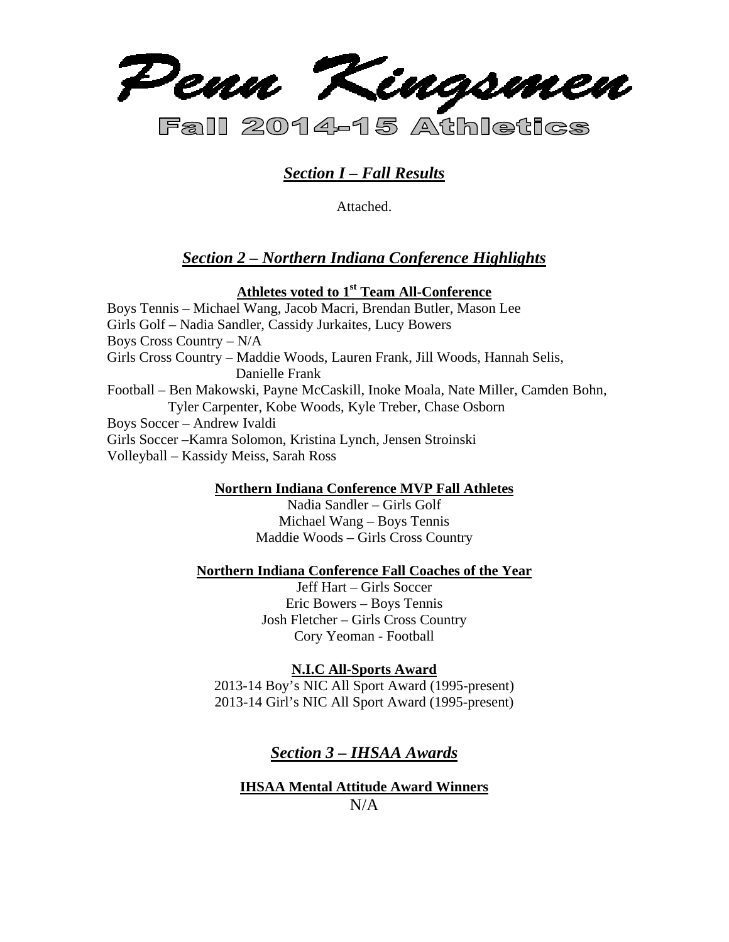

# *Section I – Fall Results*

Attached.

# *Section 2 – Northern Indiana Conference Highlights*

## **Athletes voted to 1st Team All-Conference**

Boys Tennis – Michael Wang, Jacob Macri, Brendan Butler, Mason Lee Girls Golf – Nadia Sandler, Cassidy Jurkaites, Lucy Bowers Boys Cross Country – N/A Girls Cross Country – Maddie Woods, Lauren Frank, Jill Woods, Hannah Selis, Danielle Frank Football – Ben Makowski, Payne McCaskill, Inoke Moala, Nate Miller, Camden Bohn, Tyler Carpenter, Kobe Woods, Kyle Treber, Chase Osborn Boys Soccer – Andrew Ivaldi Girls Soccer –Kamra Solomon, Kristina Lynch, Jensen Stroinski Volleyball – Kassidy Meiss, Sarah Ross

### **Northern Indiana Conference MVP Fall Athletes**

Nadia Sandler – Girls Golf Michael Wang – Boys Tennis Maddie Woods – Girls Cross Country

### **Northern Indiana Conference Fall Coaches of the Year**

Jeff Hart – Girls Soccer Eric Bowers – Boys Tennis Josh Fletcher – Girls Cross Country Cory Yeoman - Football

### **N.I.C All-Sports Award**

2013-14 Boy's NIC All Sport Award (1995-present) 2013-14 Girl's NIC All Sport Award (1995-present)

# *Section 3 – IHSAA Awards*

# **IHSAA Mental Attitude Award Winners**   $N/A$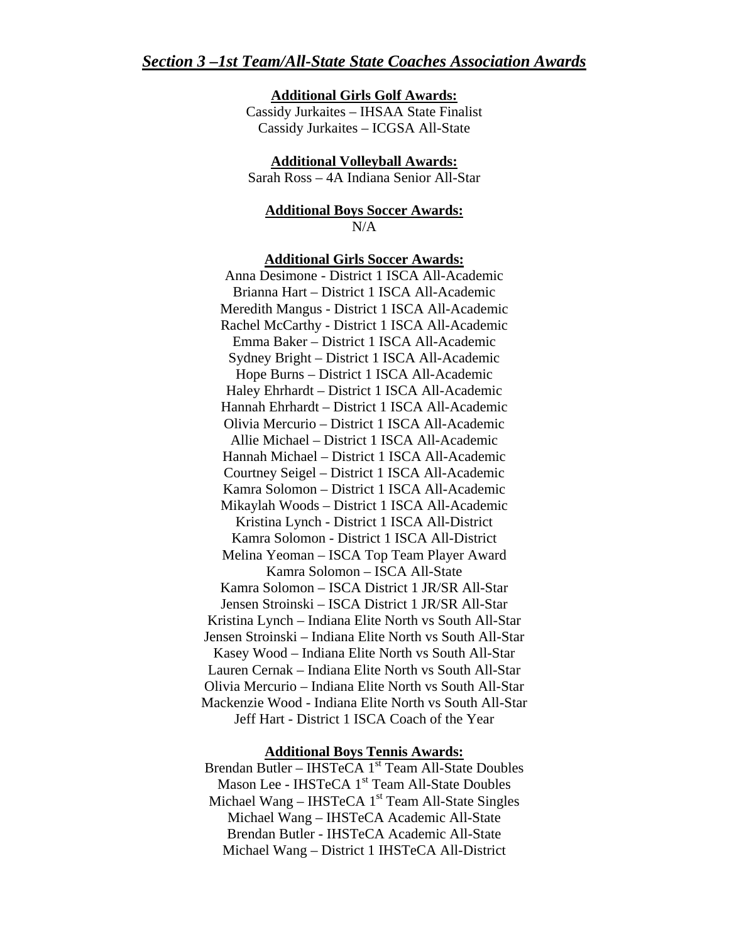#### **Additional Girls Golf Awards:**

Cassidy Jurkaites – IHSAA State Finalist Cassidy Jurkaites – ICGSA All-State

**Additional Volleyball Awards:** 

Sarah Ross – 4A Indiana Senior All-Star

### **Additional Boys Soccer Awards:**  N/A

#### **Additional Girls Soccer Awards:**

Anna Desimone - District 1 ISCA All-Academic Brianna Hart – District 1 ISCA All-Academic Meredith Mangus - District 1 ISCA All-Academic Rachel McCarthy - District 1 ISCA All-Academic Emma Baker – District 1 ISCA All-Academic Sydney Bright – District 1 ISCA All-Academic Hope Burns – District 1 ISCA All-Academic Haley Ehrhardt – District 1 ISCA All-Academic Hannah Ehrhardt – District 1 ISCA All-Academic Olivia Mercurio – District 1 ISCA All-Academic Allie Michael – District 1 ISCA All-Academic Hannah Michael – District 1 ISCA All-Academic Courtney Seigel – District 1 ISCA All-Academic Kamra Solomon – District 1 ISCA All-Academic Mikaylah Woods – District 1 ISCA All-Academic Kristina Lynch - District 1 ISCA All-District Kamra Solomon - District 1 ISCA All-District Melina Yeoman – ISCA Top Team Player Award Kamra Solomon – ISCA All-State Kamra Solomon – ISCA District 1 JR/SR All-Star Jensen Stroinski – ISCA District 1 JR/SR All-Star Kristina Lynch – Indiana Elite North vs South All-Star Jensen Stroinski – Indiana Elite North vs South All-Star Kasey Wood – Indiana Elite North vs South All-Star Lauren Cernak – Indiana Elite North vs South All-Star Olivia Mercurio – Indiana Elite North vs South All-Star Mackenzie Wood - Indiana Elite North vs South All-Star Jeff Hart - District 1 ISCA Coach of the Year

#### **Additional Boys Tennis Awards:**

Brendan Butler – IHSTeCA 1<sup>st</sup> Team All-State Doubles Mason Lee - IHSTeCA 1<sup>st</sup> Team All-State Doubles Michael Wang – IHSTeCA  $1<sup>st</sup>$  Team All-State Singles Michael Wang – IHSTeCA Academic All-State Brendan Butler - IHSTeCA Academic All-State Michael Wang – District 1 IHSTeCA All-District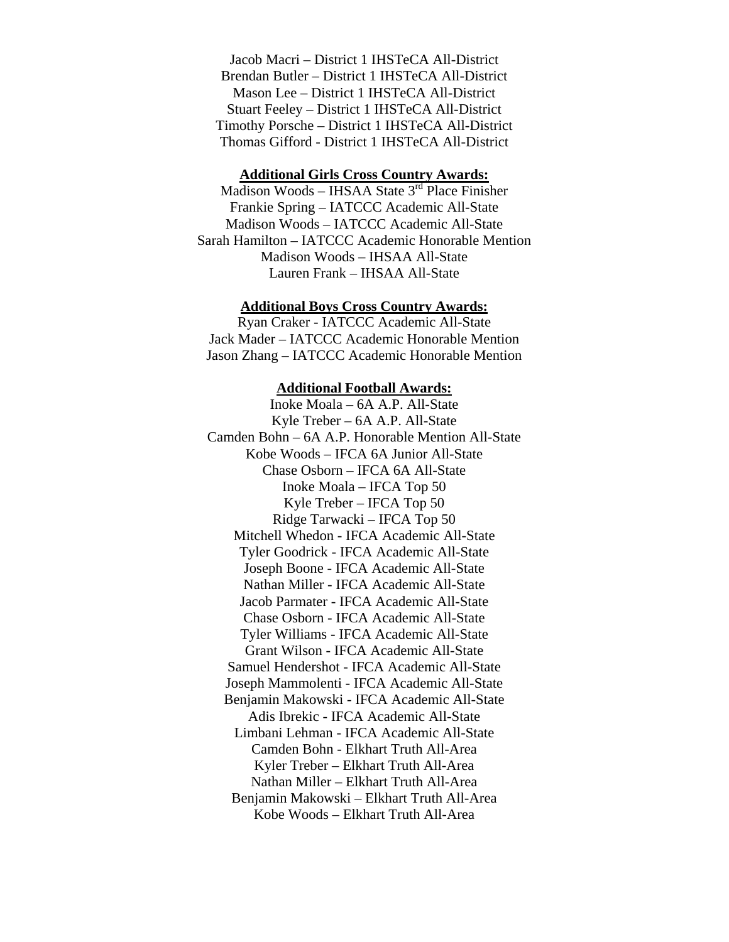Jacob Macri – District 1 IHSTeCA All-District Brendan Butler – District 1 IHSTeCA All-District Mason Lee – District 1 IHSTeCA All-District Stuart Feeley – District 1 IHSTeCA All-District Timothy Porsche – District 1 IHSTeCA All-District Thomas Gifford - District 1 IHSTeCA All-District

#### **Additional Girls Cross Country Awards:**

Madison Woods – IHSAA State 3<sup>rd</sup> Place Finisher Frankie Spring – IATCCC Academic All-State Madison Woods – IATCCC Academic All-State Sarah Hamilton – IATCCC Academic Honorable Mention Madison Woods – IHSAA All-State Lauren Frank – IHSAA All-State

#### **Additional Boys Cross Country Awards:**

Ryan Craker - IATCCC Academic All-State Jack Mader – IATCCC Academic Honorable Mention Jason Zhang – IATCCC Academic Honorable Mention

#### **Additional Football Awards:**

Inoke Moala – 6A A.P. All-State Kyle Treber – 6A A.P. All-State Camden Bohn – 6A A.P. Honorable Mention All-State Kobe Woods – IFCA 6A Junior All-State Chase Osborn – IFCA 6A All-State Inoke Moala – IFCA Top 50 Kyle Treber – IFCA Top 50 Ridge Tarwacki – IFCA Top 50 Mitchell Whedon - IFCA Academic All-State Tyler Goodrick - IFCA Academic All-State Joseph Boone - IFCA Academic All-State Nathan Miller - IFCA Academic All-State Jacob Parmater - IFCA Academic All-State Chase Osborn - IFCA Academic All-State Tyler Williams - IFCA Academic All-State Grant Wilson - IFCA Academic All-State Samuel Hendershot - IFCA Academic All-State Joseph Mammolenti - IFCA Academic All-State Benjamin Makowski - IFCA Academic All-State Adis Ibrekic - IFCA Academic All-State Limbani Lehman - IFCA Academic All-State Camden Bohn - Elkhart Truth All-Area Kyler Treber – Elkhart Truth All-Area Nathan Miller – Elkhart Truth All-Area Benjamin Makowski – Elkhart Truth All-Area Kobe Woods – Elkhart Truth All-Area